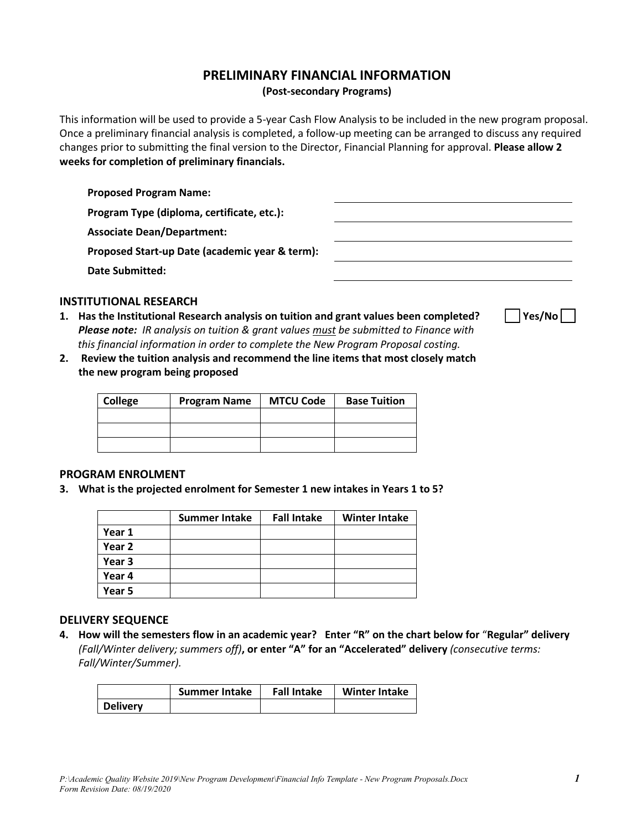# **PRELIMINARY FINANCIAL INFORMATION**

**(Post-secondary Programs)**

This information will be used to provide a 5-year Cash Flow Analysis to be included in the new program proposal. Once a preliminary financial analysis is completed, a follow-up meeting can be arranged to discuss any required changes prior to submitting the final version to the Director, Financial Planning for approval. **Please allow 2 weeks for completion of preliminary financials.**

**Proposed Program Name:**

**Program Type (diploma, certificate, etc.):**

**Associate Dean/Department:**

**Proposed Start-up Date (academic year & term):**

**Date Submitted:**



# **INSTITUTIONAL RESEARCH**

- **1. Has the Institutional Research analysis on tuition and grant values been completed? Yes/No** *Please note: IR analysis on tuition & grant values must be submitted to Finance with this financial information in order to complete the New Program Proposal costing.*
- **2. Review the tuition analysis and recommend the line items that most closely match the new program being proposed**

| College | <b>Program Name</b> | <b>MTCU Code</b> | <b>Base Tuition</b> |
|---------|---------------------|------------------|---------------------|
|         |                     |                  |                     |
|         |                     |                  |                     |
|         |                     |                  |                     |

## **PROGRAM ENROLMENT**

**3. What is the projected enrolment for Semester 1 new intakes in Years 1 to 5?**

|        | <b>Summer Intake</b> | <b>Fall Intake</b> | <b>Winter Intake</b> |
|--------|----------------------|--------------------|----------------------|
| Year 1 |                      |                    |                      |
| Year 2 |                      |                    |                      |
| Year 3 |                      |                    |                      |
| Year 4 |                      |                    |                      |
| Year 5 |                      |                    |                      |

# **DELIVERY SEQUENCE**

**4. How will the semesters flow in an academic year? Enter "R" on the chart below for** "**Regular" delivery** *(Fall/Winter delivery; summers off)***, or enter "A" for an "Accelerated" delivery** *(consecutive terms: Fall/Winter/Summer).*

|                 | <b>Summer Intake</b> | <b>Fall Intake</b> | <b>Winter Intake</b> |
|-----------------|----------------------|--------------------|----------------------|
| <b>Delivery</b> |                      |                    |                      |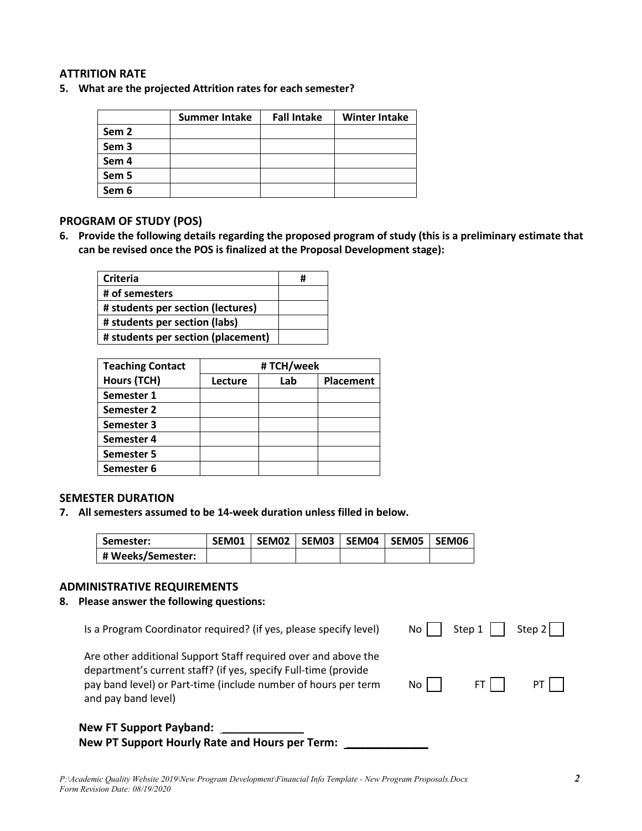# **ATTRITION RATE**

**5. What are the projected Attrition rates for each semester?**

|                  | <b>Summer Intake</b> | <b>Fall Intake</b> | <b>Winter Intake</b> |
|------------------|----------------------|--------------------|----------------------|
| Sem 2            |                      |                    |                      |
| Sem <sub>3</sub> |                      |                    |                      |
| Sem 4            |                      |                    |                      |
| Sem 5            |                      |                    |                      |
| Sem 6            |                      |                    |                      |

# **PROGRAM OF STUDY (POS)**

**6. Provide the following details regarding the proposed program of study (this is a preliminary estimate that can be revised once the POS is finalized at the Proposal Development stage):**

| Criteria                           |  |
|------------------------------------|--|
| # of semesters                     |  |
| # students per section (lectures)  |  |
| # students per section (labs)      |  |
| # students per section (placement) |  |

| <b>Teaching Contact</b> | # TCH/week |     |                  |  |  |  |
|-------------------------|------------|-----|------------------|--|--|--|
| Hours (TCH)             | Lecture    | Lab | <b>Placement</b> |  |  |  |
| Semester 1              |            |     |                  |  |  |  |
| Semester 2              |            |     |                  |  |  |  |
| Semester 3              |            |     |                  |  |  |  |
| Semester 4              |            |     |                  |  |  |  |
| Semester 5              |            |     |                  |  |  |  |
| Semester 6              |            |     |                  |  |  |  |

# **SEMESTER DURATION**

**7. All semesters assumed to be 14-week duration unless filled in below.**

| Semester:         |  |  | SEM01   SEM02   SEM03   SEM04   SEM05   SEM06 |  |
|-------------------|--|--|-----------------------------------------------|--|
| # Weeks/Semester: |  |  |                                               |  |

#### **ADMINISTRATIVE REQUIREMENTS**

**8. Please answer the following questions:**

| <b>New FT Support Payband:</b>                                                                                                                                                                                             |       |        |          |
|----------------------------------------------------------------------------------------------------------------------------------------------------------------------------------------------------------------------------|-------|--------|----------|
| Are other additional Support Staff required over and above the<br>department's current staff? (if yes, specify Full-time (provide<br>pay band level) or Part-time (include number of hours per term<br>and pay band level) | No II | FT LL  | PT.      |
| Is a Program Coordinator required? (if yes, please specify level)                                                                                                                                                          | No l  | Step 1 | Step $2$ |

#### **New PT Support Hourly Rate and Hours per Term: \_\_\_\_\_\_\_\_\_\_\_\_\_**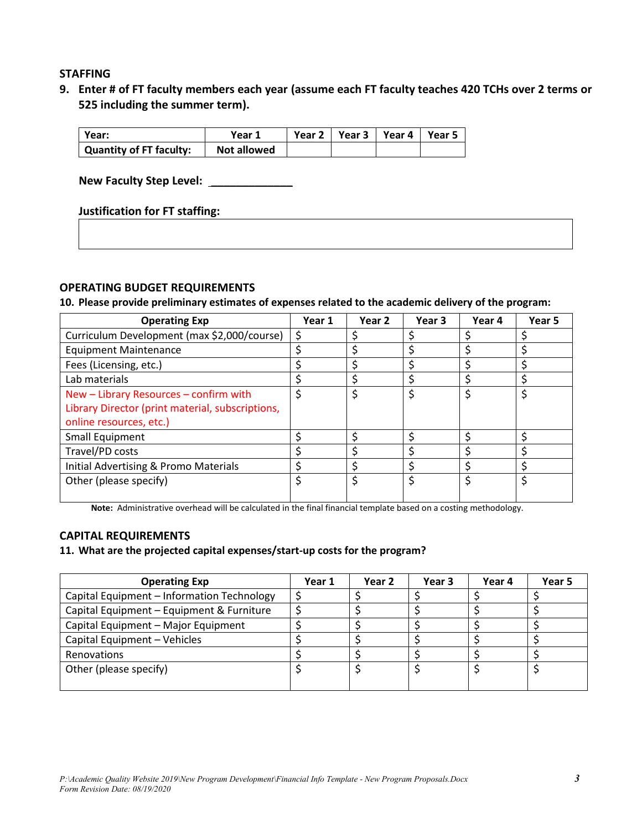# **STAFFING**

**9. Enter # of FT faculty members each year (assume each FT faculty teaches 420 TCHs over 2 terms or 525 including the summer term).**

| Vear:                   | Year 1             | Year 2   Year 3   Year 4 | l Year 5 |
|-------------------------|--------------------|--------------------------|----------|
| Quantity of FT faculty: | <b>Not allowed</b> |                          |          |

**New Faculty Step Level: \_\_\_\_\_\_\_\_\_\_\_\_\_**

## **Justification for FT staffing:**

## **OPERATING BUDGET REQUIREMENTS**

**10. Please provide preliminary estimates of expenses related to the academic delivery of the program:**

| <b>Operating Exp</b>                             | Year 1 | Year 2 | Year 3 | Year 4 | Year 5 |
|--------------------------------------------------|--------|--------|--------|--------|--------|
| Curriculum Development (max \$2,000/course)      | S      |        |        |        |        |
| <b>Equipment Maintenance</b>                     |        |        |        |        |        |
| Fees (Licensing, etc.)                           |        |        |        |        |        |
| Lab materials                                    |        |        |        |        |        |
| New - Library Resources - confirm with           |        |        |        | \$     | Ś      |
| Library Director (print material, subscriptions, |        |        |        |        |        |
| online resources, etc.)                          |        |        |        |        |        |
| Small Equipment                                  |        |        |        |        |        |
| Travel/PD costs                                  |        |        |        |        |        |
| Initial Advertising & Promo Materials            |        |        |        |        |        |
| Other (please specify)                           |        |        |        | Ś      | ς      |
|                                                  |        |        |        |        |        |

**Note:** Administrative overhead will be calculated in the final financial template based on a costing methodology.

# **CAPITAL REQUIREMENTS**

## **11. What are the projected capital expenses/start-up costs for the program?**

| <b>Operating Exp</b>                       | Year 1 | Year 2 | Year 3 | Year 4 | Year 5 |
|--------------------------------------------|--------|--------|--------|--------|--------|
| Capital Equipment - Information Technology |        |        |        |        |        |
| Capital Equipment - Equipment & Furniture  |        |        |        |        |        |
| Capital Equipment - Major Equipment        |        |        |        |        |        |
| Capital Equipment - Vehicles               |        |        |        |        |        |
| <b>Renovations</b>                         |        |        |        |        |        |
| Other (please specify)                     |        |        |        |        |        |
|                                            |        |        |        |        |        |